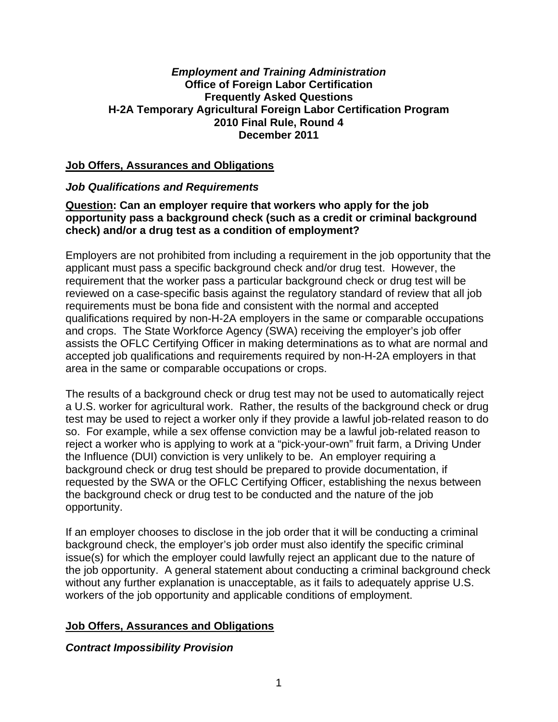### *Employment and Training Administration*  **Office of Foreign Labor Certification Frequently Asked Questions H-2A Temporary Agricultural Foreign Labor Certification Program 2010 Final Rule, Round 4 December 2011**

#### **Job Offers, Assurances and Obligations**

### *Job Qualifications and Requirements*

### **Question: Can an employer require that workers who apply for the job opportunity pass a background check (such as a credit or criminal background check) and/or a drug test as a condition of employment?**

Employers are not prohibited from including a requirement in the job opportunity that the applicant must pass a specific background check and/or drug test. However, the requirement that the worker pass a particular background check or drug test will be reviewed on a case-specific basis against the regulatory standard of review that all job requirements must be bona fide and consistent with the normal and accepted qualifications required by non-H-2A employers in the same or comparable occupations and crops. The State Workforce Agency (SWA) receiving the employer's job offer assists the OFLC Certifying Officer in making determinations as to what are normal and accepted job qualifications and requirements required by non-H-2A employers in that area in the same or comparable occupations or crops.

The results of a background check or drug test may not be used to automatically reject a U.S. worker for agricultural work. Rather, the results of the background check or drug test may be used to reject a worker only if they provide a lawful job-related reason to do so. For example, while a sex offense conviction may be a lawful job-related reason to reject a worker who is applying to work at a "pick-your-own" fruit farm, a Driving Under the Influence (DUI) conviction is very unlikely to be. An employer requiring a background check or drug test should be prepared to provide documentation, if requested by the SWA or the OFLC Certifying Officer, establishing the nexus between the background check or drug test to be conducted and the nature of the job opportunity.

If an employer chooses to disclose in the job order that it will be conducting a criminal background check, the employer's job order must also identify the specific criminal issue(s) for which the employer could lawfully reject an applicant due to the nature of the job opportunity. A general statement about conducting a criminal background check without any further explanation is unacceptable, as it fails to adequately apprise U.S. workers of the job opportunity and applicable conditions of employment.

### **Job Offers, Assurances and Obligations**

### *Contract Impossibility Provision*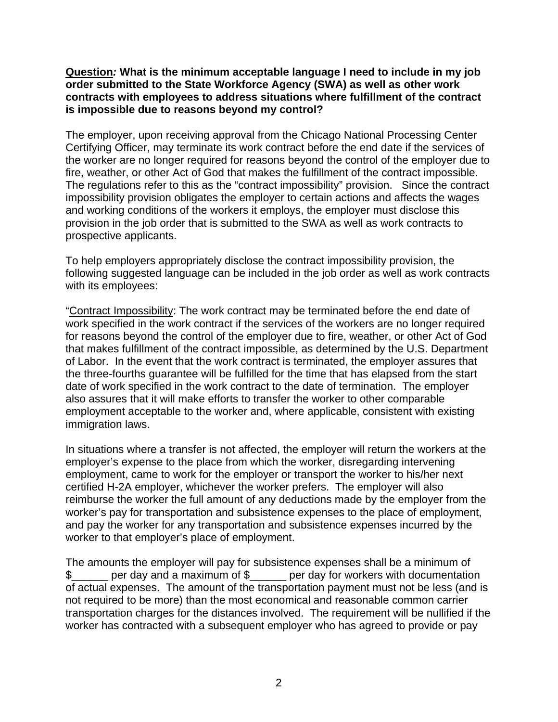**Question***:* **What is the minimum acceptable language I need to include in my job order submitted to the State Workforce Agency (SWA) as well as other work contracts with employees to address situations where fulfillment of the contract is impossible due to reasons beyond my control?** 

The employer, upon receiving approval from the Chicago National Processing Center Certifying Officer, may terminate its work contract before the end date if the services of the worker are no longer required for reasons beyond the control of the employer due to fire, weather, or other Act of God that makes the fulfillment of the contract impossible. The regulations refer to this as the "contract impossibility" provision. Since the contract impossibility provision obligates the employer to certain actions and affects the wages and working conditions of the workers it employs, the employer must disclose this provision in the job order that is submitted to the SWA as well as work contracts to prospective applicants.

To help employers appropriately disclose the contract impossibility provision, the following suggested language can be included in the job order as well as work contracts with its employees:

"Contract Impossibility: The work contract may be terminated before the end date of work specified in the work contract if the services of the workers are no longer required for reasons beyond the control of the employer due to fire, weather, or other Act of God that makes fulfillment of the contract impossible, as determined by the U.S. Department of Labor. In the event that the work contract is terminated, the employer assures that the three-fourths guarantee will be fulfilled for the time that has elapsed from the start date of work specified in the work contract to the date of termination. The employer also assures that it will make efforts to transfer the worker to other comparable employment acceptable to the worker and, where applicable, consistent with existing immigration laws.

In situations where a transfer is not affected, the employer will return the workers at the employer's expense to the place from which the worker, disregarding intervening employment, came to work for the employer or transport the worker to his/her next certified H-2A employer, whichever the worker prefers. The employer will also reimburse the worker the full amount of any deductions made by the employer from the worker's pay for transportation and subsistence expenses to the place of employment, and pay the worker for any transportation and subsistence expenses incurred by the worker to that employer's place of employment.

The amounts the employer will pay for subsistence expenses shall be a minimum of \$ 1. per day and a maximum of \$ \_\_\_\_\_ per day for workers with documentation of actual expenses. The amount of the transportation payment must not be less (and is not required to be more) than the most economical and reasonable common carrier transportation charges for the distances involved. The requirement will be nullified if the worker has contracted with a subsequent employer who has agreed to provide or pay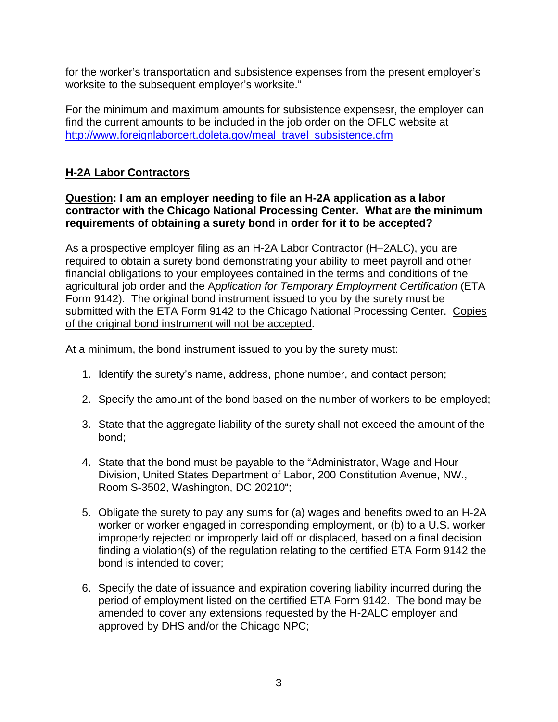for the worker's transportation and subsistence expenses from the present employer's worksite to the subsequent employer's worksite."

For the minimum and maximum amounts for subsistence expensesr, the employer can find the current amounts to be included in the job order on the OFLC website at [http://www.foreignlaborcert.doleta.gov/meal\\_travel\\_subsistence.cfm](http://www.foreignlaborcert.doleta.gov/meal_travel_subsistence.cfm)

# **H-2A Labor Contractors**

## **Question: I am an employer needing to file an H-2A application as a labor contractor with the Chicago National Processing Center. What are the minimum requirements of obtaining a surety bond in order for it to be accepted?**

As a prospective employer filing as an H-2A Labor Contractor (H–2ALC), you are required to obtain a surety bond demonstrating your ability to meet payroll and other financial obligations to your employees contained in the terms and conditions of the agricultural job order and the A*pplication for Temporary Employment Certification* (ETA Form 9142). The original bond instrument issued to you by the surety must be submitted with the ETA Form 9142 to the Chicago National Processing Center. Copies of the original bond instrument will not be accepted.

At a minimum, the bond instrument issued to you by the surety must:

- 1. Identify the surety's name, address, phone number, and contact person;
- 2. Specify the amount of the bond based on the number of workers to be employed;
- 3. State that the aggregate liability of the surety shall not exceed the amount of the bond;
- 4. State that the bond must be payable to the "Administrator, Wage and Hour Division, United States Department of Labor, 200 Constitution Avenue, NW., Room S-3502, Washington, DC 20210";
- 5. Obligate the surety to pay any sums for (a) wages and benefits owed to an H-2A worker or worker engaged in corresponding employment, or (b) to a U.S. worker improperly rejected or improperly laid off or displaced, based on a final decision finding a violation(s) of the regulation relating to the certified ETA Form 9142 the bond is intended to cover;
- 6. Specify the date of issuance and expiration covering liability incurred during the period of employment listed on the certified ETA Form 9142. The bond may be amended to cover any extensions requested by the H-2ALC employer and approved by DHS and/or the Chicago NPC;